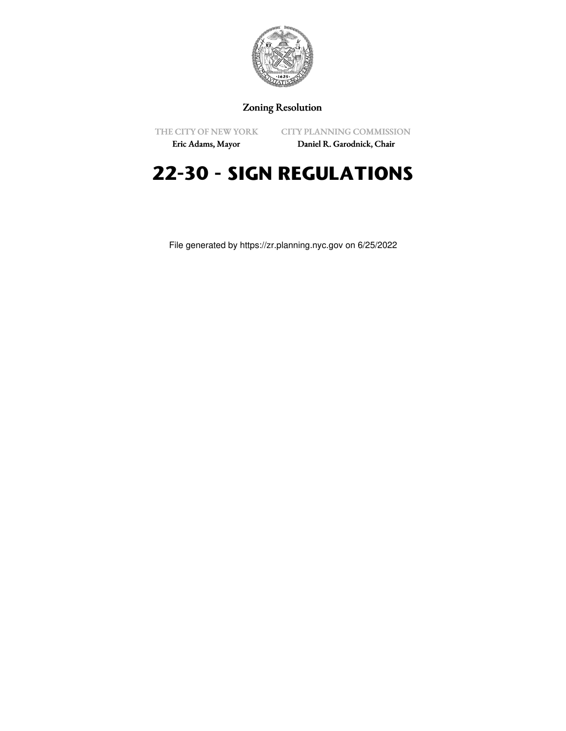

# Zoning Resolution

THE CITY OF NEW YORK

CITY PLANNING COMMISSION

Eric Adams, Mayor

Daniel R. Garodnick, Chair

# **22-30 - SIGN REGULATIONS**

File generated by https://zr.planning.nyc.gov on 6/25/2022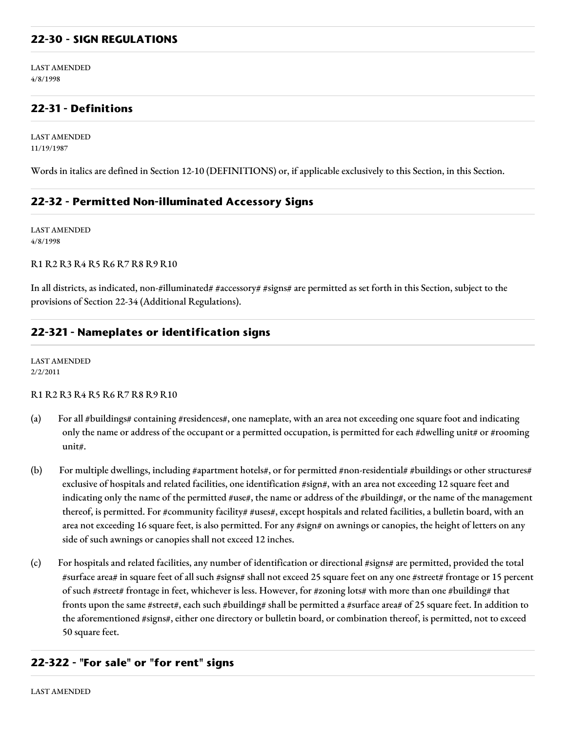## **22-30 - SIGN REGULATIONS**

LAST AMENDED 4/8/1998

# **22-31 - Definitions**

LAST AMENDED 11/19/1987

Words in italics are defined in Section 12-10 (DEFINITIONS) or, if applicable exclusively to this Section, in this Section.

## **22-32 - Permitted Non-illuminated Accessory Signs**

LAST AMENDED 4/8/1998

#### R1 R2 R3 R4 R5 R6 R7 R8 R9 R10

In all districts, as indicated, non-#illuminated# #accessory# #signs# are permitted as set forth in this Section, subject to the provisions of Section 22-34 (Additional Regulations).

## **22-321 - Nameplates or identification signs**

LAST AMENDED 2/2/2011

#### R1 R2 R3 R4 R5 R6 R7 R8 R9 R10

- (a) For all #buildings# containing #residences#, one nameplate, with an area not exceeding one square foot and indicating only the name or address of the occupant or a permitted occupation, is permitted for each #dwelling unit# or #rooming unit#.
- (b) For multiple dwellings, including #apartment hotels#, or for permitted #non-residential# #buildings or other structures# exclusive of hospitals and related facilities, one identification #sign#, with an area not exceeding 12 square feet and indicating only the name of the permitted #use#, the name or address of the #building#, or the name of the management thereof, is permitted. For #community facility# #uses#, except hospitals and related facilities, a bulletin board, with an area not exceeding 16 square feet, is also permitted. For any #sign# on awnings or canopies, the height of letters on any side of such awnings or canopies shall not exceed 12 inches.
- (c) For hospitals and related facilities, any number of identification or directional #signs# are permitted, provided the total #surface area# in square feet of all such #signs# shall not exceed 25 square feet on any one #street# frontage or 15 percent of such #street# frontage in feet, whichever is less. However, for #zoning lots# with more than one #building# that fronts upon the same #street#, each such #building# shall be permitted a #surface area# of 25 square feet. In addition to the aforementioned #signs#, either one directory or bulletin board, or combination thereof, is permitted, not to exceed 50 square feet.

## **22-322 - "For sale" or "for rent" signs**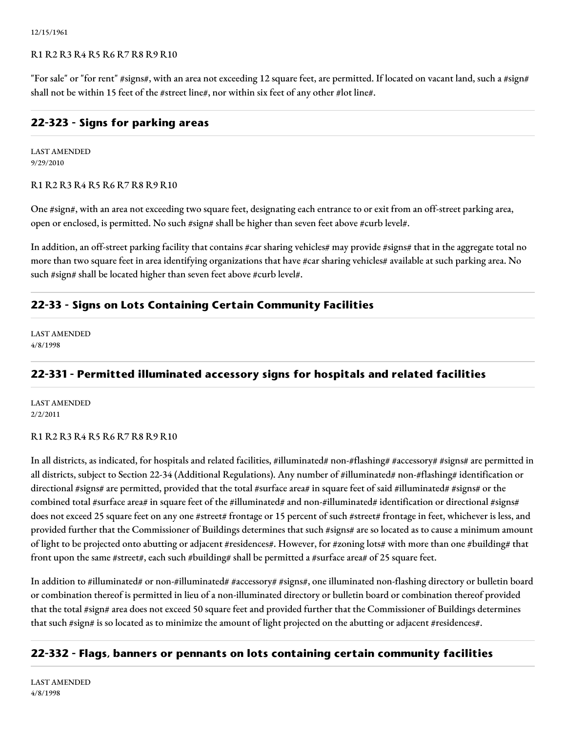12/15/1961

### R1 R2 R3 R4 R5 R6 R7 R8 R9 R10

"For sale" or "for rent" #signs#, with an area not exceeding 12 square feet, are permitted. If located on vacant land, such a #sign# shall not be within 15 feet of the #street line#, nor within six feet of any other #lot line#.

## **22-323 - Signs for parking areas**

LAST AMENDED 9/29/2010

#### R1 R2 R3 R4 R5 R6 R7 R8 R9 R10

One #sign#, with an area not exceeding two square feet, designating each entrance to or exit from an off-street parking area, open or enclosed, is permitted. No such #sign# shall be higher than seven feet above #curb level#.

In addition, an off-street parking facility that contains #car sharing vehicles# may provide #signs# that in the aggregate total no more than two square feet in area identifying organizations that have #car sharing vehicles# available at such parking area. No such #sign# shall be located higher than seven feet above #curb level#.

# **22-33 - Signs on Lots Containing Certain Community Facilities**

LAST AMENDED 4/8/1998

# **22-331 - Permitted illuminated accessory signs for hospitals and related facilities**

LAST AMENDED 2/2/2011

## R1 R2 R3 R4 R5 R6 R7 R8 R9 R10

In all districts, as indicated, for hospitals and related facilities, #illuminated# non-#flashing# #accessory# #signs# are permitted in all districts, subject to Section 22-34 (Additional Regulations). Any number of #illuminated# non-#flashing# identification or directional #signs# are permitted, provided that the total #surface area# in square feet of said #illuminated# #signs# or the combined total #surface area# in square feet of the #illuminated# and non-#illuminated# identification or directional #signs# does not exceed 25 square feet on any one #street# frontage or 15 percent of such #street# frontage in feet, whichever is less, and provided further that the Commissioner of Buildings determines that such #signs# are so located as to cause a minimum amount of light to be projected onto abutting or adjacent #residences#. However, for #zoning lots# with more than one #building# that front upon the same #street#, each such #building# shall be permitted a #surface area# of 25 square feet.

In addition to #illuminated# or non-#illuminated# #accessory# #signs#, one illuminated non-flashing directory or bulletin board or combination thereof is permitted in lieu of a non-illuminated directory or bulletin board or combination thereof provided that the total #sign# area does not exceed 50 square feet and provided further that the Commissioner of Buildings determines that such #sign# is so located as to minimize the amount of light projected on the abutting or adjacent #residences#.

# **22-332 - Flags, banners or pennants on lots containing certain community facilities**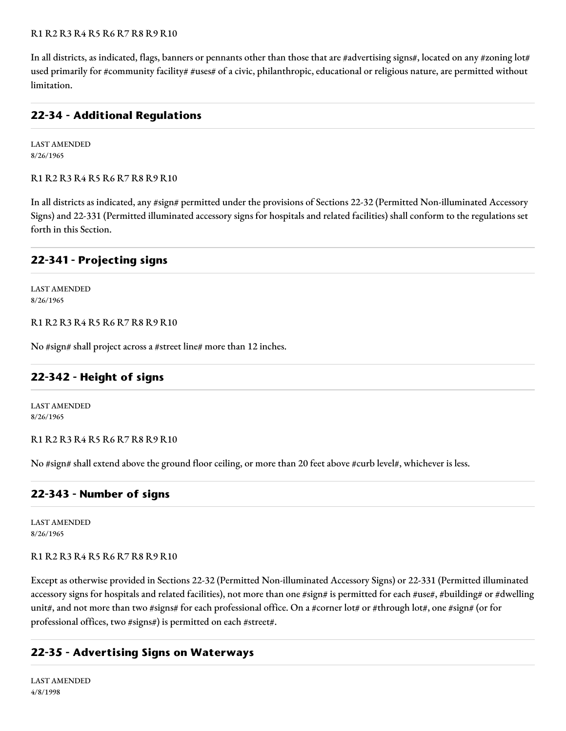### R1 R2 R3 R4 R5 R6 R7 R8 R9 R10

In all districts, as indicated, flags, banners or pennants other than those that are #advertising signs#, located on any #zoning lot# used primarily for #community facility# #uses# of a civic, philanthropic, educational or religious nature, are permitted without limitation.

## **22-34 - Additional Regulations**

LAST AMENDED 8/26/1965

R1 R2 R3 R4 R5 R6 R7 R8 R9 R10

In all districts as indicated, any #sign# permitted under the provisions of Sections 22-32 (Permitted Non-illuminated Accessory Signs) and 22-331 (Permitted illuminated accessory signs for hospitals and related facilities) shall conform to the regulations set forth in this Section.

## **22-341 - Projecting signs**

LAST AMENDED 8/26/1965

R1 R2 R3 R4 R5 R6 R7 R8 R9 R10

No #sign# shall project across a #street line# more than 12 inches.

## **22-342 - Height of signs**

LAST AMENDED 8/26/1965

R1 R2 R3 R4 R5 R6 R7 R8 R9 R10

No #sign# shall extend above the ground floor ceiling, or more than 20 feet above #curb level#, whichever is less.

## **22-343 - Number of signs**

LAST AMENDED 8/26/1965

## R1 R2 R3 R4 R5 R6 R7 R8 R9 R10

Except as otherwise provided in Sections 22-32 (Permitted Non-illuminated Accessory Signs) or 22-331 (Permitted illuminated accessory signs for hospitals and related facilities), not more than one #sign# is permitted for each #use#, #building# or #dwelling unit#, and not more than two #signs# for each professional office. On a #corner lot# or #through lot#, one #sign# (or for professional offices, two #signs#) is permitted on each #street#.

## **22-35 - Advertising Signs on Waterways**